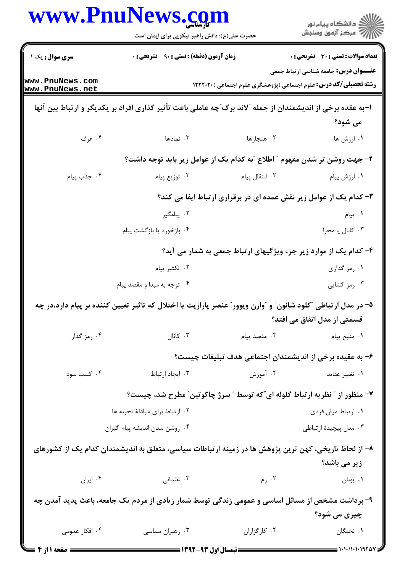|                                                                                                                                               | www.PnuNews.com<br>حضرت علی(ع): دانش راهبر نیکویی برای ایمان است                                     |                                                                          | ڪ دانشڪاه پيام نور<br>7- مرڪز آزمون وسنڊش    |  |  |
|-----------------------------------------------------------------------------------------------------------------------------------------------|------------------------------------------------------------------------------------------------------|--------------------------------------------------------------------------|----------------------------------------------|--|--|
| سری سوال: یک ۱                                                                                                                                | <b>زمان آزمون (دقیقه) : تستی : ۹۰٪ تشریحی : 0</b>                                                    |                                                                          | <b>تعداد سوالات : تستی : 30 ٪ تشریحی : 0</b> |  |  |
| www.PnuNews.com<br>www.PnuNews.net                                                                                                            |                                                                                                      | <b>رشته تحصیلی/کد درس:</b> علوم اجتماعی (پژوهشگری علوم اجتماعی )۲۲۲۰۲۰ ( | <b>عنـــوان درس:</b> جامعه شناسی ارتباط جمعی |  |  |
| ا-به عقده برخی از اندیشمندان از جمله ″لاند برگ″چه عاملی باعث تأثیر گذاری افراد بر یکدیگر و ارتباط بین آنها<br>می شود؟                         |                                                                                                      |                                                                          |                                              |  |  |
| ۰۴ عرف                                                                                                                                        | ۰۳ نمادها                                                                                            | ۰۲ هنجارها                                                               | ۰۱ ارزش ها                                   |  |  |
|                                                                                                                                               | ۲- جهت روشن تر شدن مفهوم ″ اطلاع ″به کدام یک از عوامل زیر باید توجه داشت؟                            |                                                                          |                                              |  |  |
| ۰۴ جذب پیام                                                                                                                                   | ۰۳ توزیع پیام                                                                                        | ۰۲ انتقال پیام                                                           | ۰۱ ارزش پیام                                 |  |  |
|                                                                                                                                               | ۳- کدام یک از عوامل زیر نقش عمده ای در برقراری ارتباط ایفا می کند؟                                   |                                                                          |                                              |  |  |
|                                                                                                                                               | ۰۲ پیامگیر                                                                                           |                                                                          | ۰۱ پیام                                      |  |  |
|                                                                                                                                               | ۰۴ بازخورد يا بازگشت پيام                                                                            |                                                                          | ۰۳ کانال یا مجرا                             |  |  |
| ۴- کدام یک از موارد زیر جزء ویژگیهای ارتباط جمعی به شمار می آید؟                                                                              |                                                                                                      |                                                                          |                                              |  |  |
|                                                                                                                                               | ۰۲ تکثیر پیام                                                                                        |                                                                          | ۰۱ رمز گذاری                                 |  |  |
|                                                                                                                                               | ۰۴ توجه به مبدا و مقصد پیام                                                                          |                                                                          | ۰۳ رمز گشایی                                 |  |  |
| ۵– در مدل ارتباطی "کلود شانون ّ و "وارن ویوور ّ عنصر پارازیت یا اختلال که تاثیر تعیین کننده بر پیام دارد،در چه<br>قسمتی از مدل اتفاق می افتد؟ |                                                                                                      |                                                                          |                                              |  |  |
| ۰۴ رمز گذار                                                                                                                                   | کانال $\cdot$ ۳                                                                                      |                                                                          | ۰۱ منبع پیام منبع پیام است. ۲۰ مقصد پیام     |  |  |
|                                                                                                                                               |                                                                                                      | ۶– به عقیده برخی از اندیشمندان اجتماعی هدف تبلیغات چیست؟                 |                                              |  |  |
| ۰۴ کسب سود                                                                                                                                    | ۰۳ ایجاد ارتباط                                                                                      | ۰۲ آموزش                                                                 | ۰۱ تغییر عقاید                               |  |  |
|                                                                                                                                               | ۷- منظور از ″ نظریه ارتباط گلوله ای″که توسط ″ سرژ چاکوتین″ مطرح شد، چیست؟                            |                                                                          |                                              |  |  |
|                                                                                                                                               | ٠٢ ارتباط براي مبادلة تجربه ها                                                                       |                                                                          | ٠١. ارتباط ميان فردى                         |  |  |
|                                                                                                                                               | ۰۴ روشن شدن انديشه پيام گيران                                                                        |                                                                          | ۰۳ مدل پیچیدهٔ ارتباطی                       |  |  |
|                                                                                                                                               | ۸– از لحاظ تاریخی، کهن ترین پژوهش ها در زمینه ارتباطات سیاسی، متعلق به اندیشمندان کدام یک از کشورهای |                                                                          | زیر می باشد؟                                 |  |  |
| ۰۴ ایران                                                                                                                                      | ۰۳ عثمانی                                                                                            | ۲. رم                                                                    | ۰۱ يونان                                     |  |  |
| ۹- برداشت مشخص از مسائل اساسی و عمومی زندگی توسط شمار زیادی از مردم یک جامعه، باعث پدید آمدن چه                                               |                                                                                                      |                                                                          |                                              |  |  |
|                                                                                                                                               |                                                                                                      |                                                                          | چیزی می شود؟                                 |  |  |
| ۰۴ افکار عمومی                                                                                                                                | ۰۳ رهبران سیاسی                                                                                      | ٠٢ کارگزاران                                                             | ٠. نخبگان                                    |  |  |
| <b>ـــ صفحه ۱ از ۴</b>                                                                                                                        |                                                                                                      |                                                                          | $\equiv$ ۱۰۱۰/۱۰۱۰۱۹۲۵                       |  |  |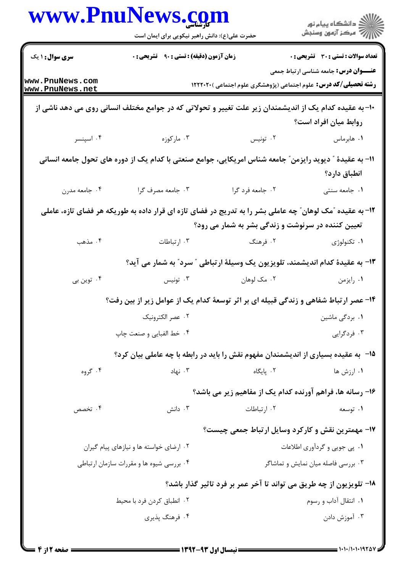|                                          | www.PnuNews.com<br>حضرت علی(ع): دانش راهبر نیکویی برای ایمان است                                         |                                                           | ڪ دانشڪاه پيام نور<br>/> مرڪز آزمون وسنڊش                                                                                |
|------------------------------------------|----------------------------------------------------------------------------------------------------------|-----------------------------------------------------------|--------------------------------------------------------------------------------------------------------------------------|
| <b>سری سوال : ۱ یک</b>                   | زمان آزمون (دقیقه) : تستی : ۹۰٪ تشریحی : ۰                                                               |                                                           | <b>تعداد سوالات : تستی : 30 - تشریحی : 0</b>                                                                             |
| www.PnuNews.com<br>www.PnuNews.net       |                                                                                                          |                                                           | <b>عنـــوان درس:</b> جامعه شناسی ارتباط جمعی<br><b>رشته تحصیلی/کد درس:</b> علوم اجتماعی (پژوهشگری علوم اجتماعی )۲۲۲۰۲۰ ( |
|                                          | +۱- به عقیده کدام یک از اندیشمندان زیر علت تغییر و تحولاتی که در جوامع مختلف انسانی روی می دهد ناشی از   |                                                           | روابط میان افراد است؟                                                                                                    |
| ۰۴ اسپنسر                                | ۰۳ مارکوزه                                                                                               | ۰۲ تونیس                                                  | ٠١. هابرماس                                                                                                              |
|                                          | 11- به عقیدهٔ ″ دیوید رایزمن″ جامعه شناس امریکایی، جوامع صنعتی با کدام یک از دوره های تحول جامعه انسانی  |                                                           | انطباق دارد؟                                                                                                             |
| ۰۴ جامعه مدرن                            | ۰۳ جامعه مصرف گرا                                                                                        | ۰۲ جامعه فرد گرا                                          | ٠١ جامعه سنتى                                                                                                            |
|                                          | ۱۲- به عقیده ″مک لوهان″ چه عاملی بشر را به تدریج در فضای تازه ای قرار داده به طوریکه هر فضای تازه، عاملی | <b>تعیین کننده در سرنوشت و زندگی بشر به شمار می رود</b> ؟ |                                                                                                                          |
| ۰۴ مذهب                                  | ۰۳ ارتباطات                                                                                              |                                                           | ۰۱ تکنولوژی در است کا به این منگ                                                                                         |
|                                          |                                                                                                          |                                                           | ۱۳- به عقیدهٔ کدام اندیشمند، تلویزیون یک وسیلهٔ ارتباطی ″ سرد″ به شمار می آید؟                                           |
| ۰۴ توین بی                               | ۰۳ تونیس                                                                                                 | ۰۲ مک لوهان                                               | ۰۱ رایزمن                                                                                                                |
|                                          | ۱۴- عصر ارتباط شفاهی و زندگی قبیله ای بر اثر توسعهٔ کدام یک از عوامل زیر از بین رفت؟                     |                                                           |                                                                                                                          |
|                                          | ۰۲ عصر الكترونيک                                                                                         |                                                           | ۰۱ بردگی ماشین                                                                                                           |
|                                          | ۰۴ خط الفبايي و صنعت چاپ                                                                                 |                                                           | ۰۳ فردگرایی                                                                                                              |
|                                          | ۱۵− ً به عقیده بسیاری از اندیشمندان مفهوم نقش را باید در رابطه با چه عاملی بیان کرد؟                     |                                                           |                                                                                                                          |
| ۰۴ گروه                                  | ۰۳ نهاد                                                                                                  | ۰۲ پایگاه                                                 | ۰۱ ارزش ها                                                                                                               |
|                                          |                                                                                                          |                                                           | ۱۶- رسانه ها، فراهم آورنده کدام یک از مفاهیم زیر می باشد؟                                                                |
| ۰۴ تخصص                                  | ۰۳ دانش                                                                                                  | ۰۲ ارتباطات                                               | ۰۱ توسعه                                                                                                                 |
|                                          |                                                                                                          |                                                           | <b>۱۷- مهمترین نقش و کارکرد وسایل ارتباط جمعی چیست</b> ؟                                                                 |
| ۰۲ ارضای خواسته ها و نیازهای پیام گیران  |                                                                                                          |                                                           | ۰۱ پی جویی و گردآوری اطلاعات                                                                                             |
| ۰۴ بررسی شیوه ها و مقررات سازمان ارتباطی |                                                                                                          |                                                           | ۰۳ بررسی فاصله میان نمایش و تماشاگر                                                                                      |
|                                          |                                                                                                          |                                                           | ۱۸- تلویزیون از چه طریق می تواند تا آخر عمر بر فرد تاثیر گذار باشد؟                                                      |
|                                          | ۰۲ انطباق کردن فرد با محیط                                                                               |                                                           | ۰۱ انتقال آداب و رسوم                                                                                                    |
|                                          | ۰۴ فرهنگ پذیری                                                                                           |                                                           | ۰۳ آموزش دادن                                                                                                            |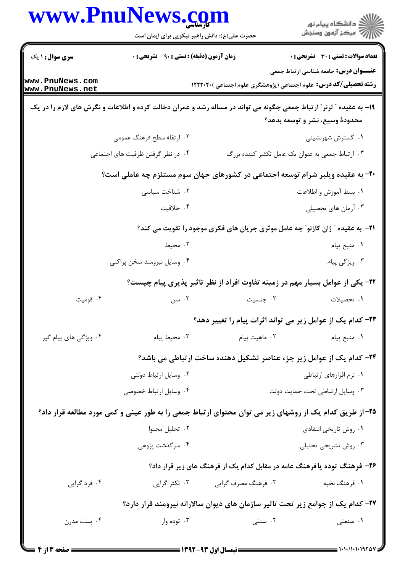| www.PnuNews.com                                                                                                     | حضرت علی(ع): دانش راهبر نیکویی برای ایمان است                                  |                                                                                       | ≦ دانشڪاه پيام نور<br>ر∕ = مرڪز آزمون وسنڊش                                                                             |
|---------------------------------------------------------------------------------------------------------------------|--------------------------------------------------------------------------------|---------------------------------------------------------------------------------------|-------------------------------------------------------------------------------------------------------------------------|
| <b>سری سوال : ۱ یک</b>                                                                                              | <b>زمان آزمون (دقیقه) : تستی : ۹۰٪ تشریحی : 0</b>                              |                                                                                       | تعداد سوالات : تستى : 30 ٪ تشريحي : 0                                                                                   |
| www.PnuNews.com<br>www.PnuNews.net                                                                                  |                                                                                |                                                                                       | <b>عنـــوان درس:</b> جامعه شناسی ارتباط جمعی<br><b>رشته تحصیلی/کد درس:</b> علوم اجتماعی (پژوهشگری علوم اجتماعی )۲۲۲۲۰۲۰ |
| ۱۹- به عقیده ″ لرنر ″ ارتباط جمعی چگونه می تواند در مساله رشد و عمران دخالت کرده و اطلاعات و نگرش های لازم را در یک |                                                                                |                                                                                       | محدودة وسيع، نشر و توسعه بدهد؟                                                                                          |
|                                                                                                                     | ۲. ارتقاء سطح فرهنگ عمومی                                                      |                                                                                       | ۰۱ گسترش شهرنشینی                                                                                                       |
|                                                                                                                     | ۰۴ در نظر گرفتن ظرفیت های اجتماعی                                              |                                                                                       | ۰۳ ارتباط جمعی به عنوان یک عامل تکثیر کننده بزرگ                                                                        |
|                                                                                                                     | ۲۰- به عقیده ویلبر شرام توسعه اجتماعی در کشورهای جهان سوم مستلزم چه عاملی است؟ |                                                                                       |                                                                                                                         |
|                                                                                                                     | ۰۲ شناخت سیاسی                                                                 |                                                                                       | ٠١. بسط آموزش و اطلاعات                                                                                                 |
|                                                                                                                     | ۰۴ خلاقیت                                                                      |                                                                                       | ۰۳ آرمان های تحصیلی                                                                                                     |
|                                                                                                                     |                                                                                | <b>۲۱</b> - به عقیده ″ ژان کازنو″ چه عامل موثری جریان های فکری موجود را تقویت می کند؟ |                                                                                                                         |
|                                                                                                                     | ۰۲ محیط                                                                        |                                                                                       | ٠١ منبع پيام                                                                                                            |
|                                                                                                                     | ۰۴ وسایل نیرومند سخن پراکنی                                                    |                                                                                       | ۰۳ ویژگی پیام                                                                                                           |
|                                                                                                                     |                                                                                |                                                                                       | ۲۲- یکی از عوامل بسیار مهم در زمینه تفاوت افراد از نظر تاثیر پذیری پیام چیست؟                                           |
| ۰۴ قومیت                                                                                                            | ۰۳ سن                                                                          | ۰۲ جنسیت                                                                              | ۰۱ تحصیلات                                                                                                              |
|                                                                                                                     |                                                                                |                                                                                       | ۲۳– کدام یک از عوامل زیر می تواند اثرات پیام را تغییر دهد؟                                                              |
| ۰۴ ویژگی های پیام گیر                                                                                               | ۰۳ محيط پيام                                                                   | ۰۲ ماهیت پیام                                                                         | ۰۱ منبع پیام                                                                                                            |
|                                                                                                                     |                                                                                |                                                                                       | ۲۴- کدام یک از عوامل زیر جزء عناصر تشکیل دهنده ساخت ارتباطی می باشد؟                                                    |
|                                                                                                                     | ۰۲ وسایل ارتباط دولتی                                                          |                                                                                       | ٠١ نرم افزارهاي ارتباطي                                                                                                 |
|                                                                                                                     | ۰۴ وسایل ارتباط خصوصی                                                          |                                                                                       | ٠٣ وسايل ارتباطي تحت حمايت دولت                                                                                         |
|                                                                                                                     |                                                                                |                                                                                       | ۲۵– از طریق کدام یک از روشهای زیر می توان محتوای ارتباط جمعی را به طور عینی و کمی مورد مطالعه قرار داد؟                 |
|                                                                                                                     | ۰۲ تحلیل محتوا                                                                 |                                                                                       | ۰۱ روش تاریخی انتقادی                                                                                                   |
|                                                                                                                     | ۰۴ سرگذشت پژوهی                                                                |                                                                                       | ۰۳ روش تشریحی تحلیلی                                                                                                    |
|                                                                                                                     |                                                                                |                                                                                       | ۲۶- فرهنگ توده یافرهنگ عامه در مقابل کدام یک از فرهنگ های زیر قرار داد؟                                                 |
| ۰۴ فرد گرایی                                                                                                        | ۰۳ تکثر گرایی                                                                  | ۰۲ فرهنگ مصرف گرایی                                                                   | ۱. فرهنگ نخبه                                                                                                           |
|                                                                                                                     |                                                                                |                                                                                       | ۲۷- کدام یک از جوامع زیر تحت تاثیر سازمان های دیوان سالارانه نیرومند قرار دارد؟                                         |
| ۰۴ پست مدرن                                                                                                         | ۰۳ توده وار                                                                    | ۰۲ سنتی                                                                               | ۰۱ صنعتی                                                                                                                |
|                                                                                                                     |                                                                                |                                                                                       |                                                                                                                         |